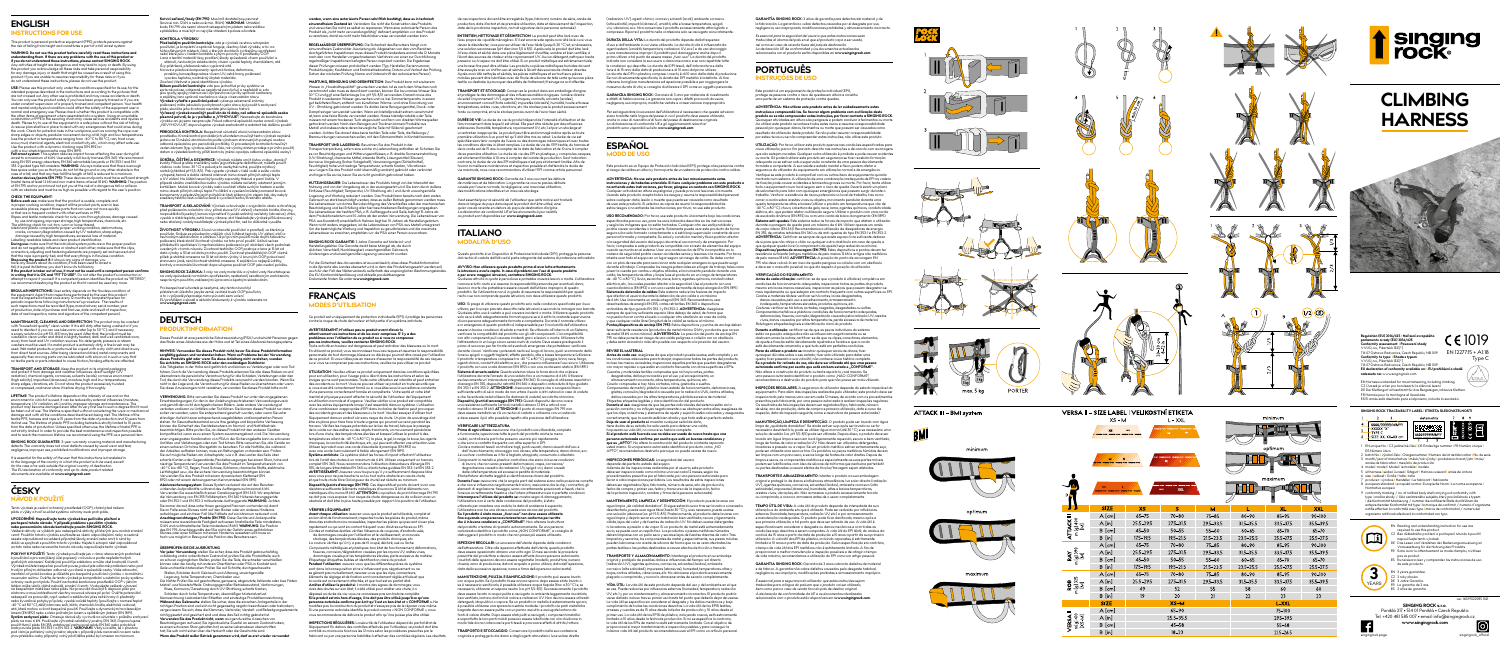







# singing rock singing rock singing rock singing  $\bullet$

| <b>B</b> .                           | <b>MAX</b><br>inging rock singing rock singing rock, singing |               | <b>XXL</b><br>MAX |               | <b>IIIUAIIIIUIII</b><br>Ш |               |               |
|--------------------------------------|--------------------------------------------------------------|---------------|-------------------|---------------|---------------------------|---------------|---------------|
|                                      | <b>SIZE</b>                                                  | <b>XS</b>     | s                 | м             |                           | <b>XL</b>     | <b>XXL</b>    |
| <b>ATTACK III</b><br>m[g] 400<br>[M] | $A$ [cm]                                                     | $65 - 75$     | $70 - 80$         | $75 - 85$     | 80-90                     | 85-95         | 90-100        |
|                                      | $\mathsf{A}$ [in]                                            | 25.5-29.5     | 27.5-31.5         | 29.5-33.5     | $31.5 - 35.5$             | 33.5 - 37.5   | 35.5-39.5     |
|                                      | B [cm]                                                       | $45 - 50$     | $50 - 55$         | $55 - 60$     | $60 - 65$                 | 65-70         | 65-70         |
|                                      | $B$ [in]                                                     | $17.5 - 19.5$ | $19.5 - 21.5$     | $21.5 - 23.5$ | 23.5-25.5                 | 25.5-27.5     | 25.5 - 27.5   |
| m[g]390<br>[M]<br>≹                  | $A$ [cm]                                                     | 65-75         | $70 - 80$         | $75 - 85$     | 80-90                     | $85 - 95$     | 90-100        |
|                                      | $\mathsf{A}$ [in]                                            | 25.5-29.5     | 27.5-31.5         | 29.5-33.5     | $31.5 - 35.5$             | $33.5 - 37.5$ | 35.5-39.5     |
|                                      | B [cm]                                                       | 45-50         | $50 - 55$         | $55 - 60$     | $60 - 65$                 | 65-70         | $65 - 70$     |
|                                      | $B$ [in]                                                     | $17.5 - 19.5$ | $19.5 - 21.5$     | $21.5 - 23.5$ | 23.5-25.5                 | 25.5 - 27.5   | $25.5 - 27.5$ |
| m [g] 325<br><b>ROB</b><br>Σ         | $A$ [cm]                                                     | $65 - 75$     | $70 - 80$         | $75 - 85$     | 80-90                     | 85-95         | $90 - 100$    |
|                                      | $\mathsf{A}$ [in]                                            | 25.5-29.5     | 27.5-31.5         | 29.5-33.5     | $31.5 - 35.5$             | 33.5 - 37.5   | 35.5-39.5     |
|                                      | B [cm]                                                       | 49            | 52                | 55            | 58                        | 60            | 60            |
|                                      | $B$ [in]                                                     | 19            | 20                | 21            | 22                        | 23            | 23            |
|                                      | <b>SIZE</b>                                                  |               | $XS-M$            |               |                           | L-XXL         |               |
| VERSAI<br>$\frac{1}{2}$ Mg 410       | $A$ [cm]                                                     | 65-90         |                   |               | 75-100                    |               |               |
|                                      | $A$ [in]                                                     | 25.5-35.5     |                   |               | 29.5-39.5                 |               |               |
|                                      | B [cm]                                                       | 45-58         |                   |               | $55 - 68$                 |               |               |
|                                      | $B$ [in]                                                     | $18 - 23$     |                   |               | $21.5 - 26.5$             |               |               |

L-XXL



WARNING: Do not use this product betore carefully read these instructions and<br>understanding them. If there are any problems with the use of this product or<br>if you do not understand these instructions, please contact SINGIN product. If you are unable to assume responsibility for these risks or if you do not understand these instructions, please do not use this product.

**USE:** Please use this product only under the conditions specified for its use, for the<br>intended purpose described in the instructions and according to the pictures that<br>are not crossed out. Any other use is prohibited and under constant supervision of a properly trained and competent person. Your health and mental and physical condition could affect the safety of the equipment user in normal and emergency use. Piease check whether this product is compatible with<br>the other items of equipment when assembled into a system. Using an unsuitable<br>combination of PPE in the securing chain may cause serious accid sharp edges or objects, pendular movement during a fall, high and low temperatures (use the product in temperatures ranging from -40 °C to 80 °C), rain, frost cover,

## **ENGLISH INSTRUCTIONS FOR USE**

# This product is personal protective equipment (PPE), protects persons against the risk of falling from height and constitutes a part of a fall arrest system.

snow, mud, chemical agents, electrical conductivity, etc., which may afted sate use.<br>Use the product with a dynamic climbing rope (EN 892) or<br>with a low-stretch kemmantle rope (EN 892) or<br>**Fall arest system:** This system r tree space under you so that you do not hit the ground or any other obstacle in the<br>case of a fall, and that any free fall (the length of fall) is reduced to a minimum.<br>Andror devices/points (EN 795): These devices and poi of EN 795 anchor point must not put you at the risk of a dangerous fall or collision with an obstacle and must be as high as possible with regard to the user's position.

The stiftching: check tor cut, torn, worn or loose thread.<br>
Metal and plastic components: proper working condition, deformations,<br>
cracks, corrosion/degradation caused by UV radiation, sharp edges,<br>
damage caused by high t **During use**: make sure that the individual system parts are in the proper position<br>and do not negatively influence or obstruct each other, make sure that the clips,<br>connectors, adjusting and fastening elements are properl about its condition; it has been used to arrest a fall; it is past its lifetime; you don't know its full history. **If the product is taken out of use, it must not be used until a competent person confirms in the product is ration out of use, in those that of our alternation or or or or or or or or or or**  $\overline{a}$  in writing that it is OK and "FIT TO USE". Do not alter the product's co attempt to repair it yourself. If a competent person identifies the product as "RETIRED", we recommend destroying the product so that it cannot be used any more.

**REGULAR INSPECTIONS:** Hear safety depends on the flawless condition of the equipment. Apart from inspections performed by the user, this product<br>must be inspected at least once every 12 months by competent person for<br>periodic inspections following manufacturer's procedure. The results of<br>such pecnons must be recorded (type, manoracrorer, senarmomi<br>uction, date of purchase and first use, date and result of insi date of next inspection, name and signature of the competent person

**MAINTENANCE, CLEANING AND DISINFECTION:** The product may be with "household-quality" clean water. If it is still dirty after being washed or if you<br>need to disinfect it, you can use lukewarm water (up to 30 °C), and if necessary<br>a soapy solution (ca. pH 5.5–8.5) may be used. After washed in clean water and dried in slightly heated, dark and well ventilated room, away from heat and UV radiation sources. No detergents, pressure or steam washers must be used. It a metal product is extremely dirfy, a tine brush may be<br>used. Wet metal products or parts must be wiped with a dry cloth and dried away<br>from direct heat sources. After being cleaned and dried, meta

**LIFETIME:** The product's lifetime depends on the intensity of use and on the environment in which it is used. It can be reduced by external influences (moisture, temperature, UV radiation, etc.) and by improper storage and maintenance. The preduct may become damaged even after its very first use to such a dagree that it must<br>be taken out of use. The lifetime is specified without co

**SINGING ROCK GUARANTEE: 3-year warranty covering material and manufacturing** defects. The warranty does not cover defects caused by usual wear and tear, negligence, improper use, prohibited modifications and improper storage.

lt is essential for the safety of the user that this instructions is translated in<br>to the language of the country in which the product is to be used, aswell<br>for the case of re-sale outside the original country of destinati

**nebo porozuměním návodu kontaktujte prosím SINGING ROCK.**<br>Veškeré aktivity ve výškách jsou nebezpečné aktivity, při kterých jsou možná zranění<br>i smrt. Použitím tohoto výrobku souhlasíte se všemi odpovídajícími riziky a os došlo ve spojitosti s použitím tohoto výrobku. Nejste-li schopni nést odpovědnost za tato rizika nebo nerozumíte tomuto návodu, nepoužívejte tento výrobek.

**CHECK THE EQUIPMENT: Before each use:** make sure that the product is usable, complete and in proper working condition; inspect all the product parts, even in less accessible places; inspect those parts that can wear out more quickly or that are in frequent contact with other surfaces or PPE. *Ropes and textile materials:* check for cuts, worn-through places, damage caused by use and ageing, improper storage, high temperatures, chemicals, etc.

**POKYNY K POUZITI:** Tento výrobek používejte jen v rámci stanovených podmínek<br>k používání a pro zamýšlený účel popsaný v návodu a podle nepřeškrtnutých grafických zobrazení. Každé jiné použití je zakázáno a může vést k nehodě či smrti. Výrobek můžete bezpečně používat pouze, pokud jste odborně proškoleni nebo pod trvalým přímým dohledem odborně vycvičené a způsobilé osoby. Vaše zdravotní, mentální a fyzická kondice je důležitá pro bezpečné p<br>ovém režimu. Ověřte že tento výrobek je kompat nouzovém režimu. Ověřle, že tento výrobek je kompatibilní s ostatními prvky systému<br>ochrany osob proti pádu. Použití nevhodné kombinace prostředků OOP v jisticím<br>řetězci může věst k vážné nehodě, zranění či smrti. Vyzkouše nebezpečí na pracovišti, např. vedení a zatěžování přes ostré hrany či předměty<br>nebo kyvadlové pohyby při pádu, vysoké a nízké teploty (používejte v rozmezí teplot<br>-40 °C až 80 °C), déšť, námraza, sníh, bláta, chemická čin lanem (EN 892) nebo s nízko průtažným lanem s opláštěným jádrem (EN 1891).<br>**Systém zachycení pádu:** Omezuje rázové síly vyvinuté na uživatele v průběhu zachycení<br>pádu na max. 6 kN. Používejte výhradně celotělový postroj (E použít tlumič pádu EN 355, zatahovací zachycovač pádu EN 360 nebo pohyblivé<br>zachycovače pádu EN 353-1 a EN 353-2. **VAROVÁNÍ:** Vždy si ověřte, že v prostoru<br>pod vámi je potřebný volný prostor, abyste v případě pádu nenarazi jinou překážku a aby případný volný pád (délka pádu) byl omezen na minimum.

**Kotvicí zařízení/body (EN 795):** Musí mít dostatečnou pevnost (kovové min. 12 kN a nekovové min. 18 kN). **VAROVÁNÍ:** Umístění bodu EN 795 vás nesmí ohrozit nebezpečným pádem nebo srážkou zu vas nesmi omožir nebezpečným padem nebo sm<br>v a musí být co nejvýše vhledem k poloze uživatele.

**KON I KOLA V YROBKU**<br>**Fřed každým použitím kontrolujte:** zda je výrobek ve stavu schopném<br>používání, je kompletní a správně funguje, všechny části výrobku, a to i na<br>hůře přístupných místech; části, u kterých dochází k ry

Svy: pretrzene, prerezane nebo vyparane nite.<br>Kovové *a plastové komponenty:* správná funkce, deformace,<br>raskliny, koroze/degradace vlivem UV, ostré hrany, poškození<br>\_ vysokou teplotou, nadměrný úbytek materiálu.

*Značení:* čitelnost a jasná identifikace vyrobku.<br>**Během používání kontrolujt**e: zda jsou jednotlivé prvky systému ve<br>správné poloze, vzájemně se negativně neovlivňují a nepřekáží si; zda jsou spony, spojky, nastavovací a připevňovací prvky správně nastaveny<br>a zajištěny lano správně navázáno a vše je v hezvadném stavu a zajištěny, lano správně navázáno a vše je v bezvadněm stavu.<br>**Výrobek vyřadře z používání pokud:** vykazuje sebemenší známky Vytobek vyradie z pouzívaní pokud: vykazuje sebemensi znamky<br>poškození, máte jakoukoliv pochybnost o jeho stavu; byl použit k zachycení<br>pády, skončila jeho životnost, neznáte jeho úplnou historii.<br>pády zachý výrobek nesmí "NEVYHOVUJE", doporučujeme výrobek znehodnotit a zabránit tak dalšímu použití.

**PERIODICKA KONTROLA:** Bezpečnost uživateli zavist in bezvadném stavu<br>prostředku. Kromě kontrol prováděných uživatelem musí být tento výrobek nejméně<br>jednou za 12 měsíců zkontrolován podle výrobcem stanovených postupů osob

UDKZMA, CISI IENI A DEZINFEKCH: Vytobek muzete omyt cistov odou "domac"<br>kodliky. Pokud je stále znečištěný nebo jej potřebujete dezinfikovat, můžete použit<br>vlažnou vodu (max. 30 °C) a pokud je to nezbytné nutně, použite my komponenty a především jejich pohyblivé části silikonovým olejem tak, aby nebyly zasaženy textilní části a části určené k vyvolání třecího/brzdného efektu.

TRANSPORT A SKLADOVANIk Výrobek uchovávejte v originálním obalu a chratite jej<br>před poškozením a okolními vlivy-přímě slunce (UV záření), chemická činidla, žíraviny,<br>rozpouštědla (kyseliny), korozivní prostředí (vysoká sal

**ZIVOTNOST VYROBKU:** Závisí na intenzíté používání a prostředí, ve kterém je<br>používán. Snižuje se působením vnějších vlivů (vlhkost, teplota, UV záření, dtál, a<br>nevhodným skladováním a údržbou. Už při prvním použití může d přihlédnutí k opotřebení či mechanickému poškození a při dodržení všech podmínek uvedených v tomto návodu. Životnost textilního OOP, postroje a lana je 15 let od data výroby a 10 let od data prvního použití. Zivotnost plastikářských OOP včetně<br>příleb je striktně omezena na 10 let od data výroby. U kovových OOP, pokud není<br>stanoveno jinak, není životnost striktně omezena. K zajištěn kontroly a maximální životnosti doporučujeme používat OOP jako osobní položku.

**SINGING ROCK ZÁRUKA:** 3 roky na vady materiálu a výrobní vady. Nevztahuje se<br>na vady způsobené normálním opotřebením, nedbalostí, neodborným zacházením,<br>nesprávným použitím, zakázanými úpravami a špatným skladováním.

**TRANSPORT AND STORAGE:** Keep the product in its original packaging and protect it from damage and weather influences: direct sunlight (UV<br>radiation), chemical agents, corrosives, solvents (acids), corrosive environment<br>(high salinity), impurities (abrasives), moisture, high and low temper or compressed, and never store it before drying it thoroughly.

# **ČESKY NÁVOD K POUŽIT Í**

Tento výrobek je osobní ochranný prostředek (OOP), chrání před rizikem pádu z výšky a tvoří součást systému ochrany osob proti pádu.

**VERWENDURG:** Birle verwenden Sie dieses Produkt nur unter den angegebenen<br>Einsatzbedingungen, für den in der Anleitung beschriebenen Verwendungszweck<br>und gemäß den nicht durchgestrichenen Bildern. Jede andere Verwendung i und ungedigneidin kombination vom der under ordnerengbikerte kannt zu seinvere<br>Unfällen und Verletzungen oder zum Tod führen. Bitte versuchen Sie, alle Geräte a einem sicheren Ort ohne Sturzgefahr zu benutzen. Für alle Notfälle, die während der Arbeiten auftreten können, muss ein Rettungsplan vorhanden sein. Prüfen<br>Sie dur mögliche Risiken am Arbeitsplatz, wie z. B. das Laufen des Seils über<br>scharfe Kanten oder Gegenstände, Pendelbewegungen bei einem Sturz, h Verwenden Sie ausschließlich einen Ganzkörpergurt (EN 361). Wir empfehlen<br>die Verwendung von EN 355 Falldämpfern, EN 360 Höhensicherungsgeräte<br>oder EN 353-1 und EN 353-2 mitlaufende Auffanggeräte.**WARNUNG:** Achten<br>Sie imme aufschlagen und ein freier Fall (die Falltiefe auf ein Minimum reduziert wird.<br>**Anschlagvorrichtungen/Punkte (EN 795)**: Diese Geräte und Ankerpunkte<br>müssen eine ausreichende Festigkeit aufweisen (metallische Teile mindeste 12 kN und nichtmetallische Teile mindestens 18 kN). **WARNUNG:** Die Position des EN 795-Anschlagpunkts darf Sie nicht der Gefahr eines gefährlichen Sturzes oder einer Kollision mit einem Hindernis aussetzen und muss so hoch wie möglich in Bezug auf die Position des Benutzers sein.

# **UPOZORNĚNÍ: Nepoužívejte tento výrobek bez pečlivého přečtení a pochopení tohoto návodu. V případě problému s použitím výrobku**

**Vor jeder Verwendung:** stellen Sie sicher, dass das Produkt gebrauchsfähig,<br>vollständig und in ordentlichem Zustand ist; prüfen Sie alle Produktteile, auch vonsianaig und in ordernitchem Zustand ist, prüfen Sie die Früduktiene, duch<br>an schwer zugänglichen Stellen: prüfen Sie die Teile, die schneller verschleiße können oder die häufig mit anderen Oberflächen oder PSA in Kontakt sind. *Seile und textile Materialien:* Prüfen Sie auf Schnitte, durchgescheuerte Stellen, Schäden durch Gebrauch und Alterung, unsachgemäße Lagerung, hohe Temperaturen, Chemikalien usw. *Die Nähte:* Prüfen Sie auf geschnittene, gerissene, abgenutzte, fehlende oder lose Fäden.

Metall- und Kunststofffielle: Ordnungsgemäßer Betriebszustand, Verformungen,<br>Risse, Korrosion/*Terset*zung durch UV-Strahlung, scharfe Kanten,<br>Schäden durch hohe Temperaturen, übermäßiger Materialverlust.<br>Kennzeichnung: Le richtigen Position sind und sich nicht gegenseitig negativ beeinflussen oder behindern; vergewissern Sie sich, dass die Klemmen, Verbinder, Verstell- und Befestigungselemente richtig gesetzt und gesichert sind und dass das Seil richtig geknotet ist.<br>**Verwenden Sie das Produkt nicht, wenn**: es irgendwelche Anzeichen von<br>Beschädigungen aufweist; Sie irgendwelche Zweifel an seinem Zustand haben;<br>e hat; Sie sich nicht sicher über die Herkunft oder die Geschichte sind. **Wenn das Produkt außer Betrieb genommen wird, darf es erst wieder verwendet** 

w**erden, wenn eine autorisierte Person schrittlich bestätigt, dass** es in t**echnisch wenn eine autorisier ein**<br>e**inwandfreiem Zustand ist.** Verändern Sie nicht die Konstruktion des Produkts<br>und versuchen Sie nicht, es selb

**REGELMÄSSIGE ÜBERPRÜFUNG:** Die Sicherheit des Benutzers hängt vom einwandfreien Zustand der Ausrüstung ab. Abgesehen von den vom Benutzer durchgeführten Inspektionen muss dieses Produkt mindestens einmal alle 12 Monate nach den vom Herstelier vorgeschnebenen Vertahren von einer zur Durchtuhrung<br>regelmäßiger Inspektionen befugten Person inspiziert werden. Die Ergebnisse<br>dieser Prüfungen müssen protokolliert werden (Typ, Hersteller, Serien

WARTUNG, KEINTGUNG UND DESINTER TION: DOS Product krain mit sauberem<br>Wasser in ,Haushaltsqualität" gewaschen verden. Ist es nach dem Waschen noch<br>verschmutzt ader muss es desinfiziert werden. Ist ein sauberem is lauvarmes Damptreiniger verwendet werden. Wenn ein Metaliprodukt extrem verschmutzt<br>ist, kann eine feine Bürste verwendet werden. Nasse Metallprodukte oder Teile<br>müssen mit einem trockenen Tuch abgewischt und fern von direkten Wärme getrocknet werden. Nach dem Reinigen und Trocknen können Produkte aus Metall und insbesondere deren bewegliche Teile mit Silikonol geschmiert<br>werden. Achten Sie darauf dass keine textilen Teile oder Teile, die Reibungs-/<br>Bremswirkungen verursachen sollen, mit den Schmiermitteln in Kontakt ko

TRANSPORT UND LAGERUNG: Bevorhen Sie das Produkt in der<br>Transportverpackung, sofern eine solche im Lieferumfang enthalten ist. Schützen Sie<br>es vor Beschädigungen und Witterungseinflüssen, z. B. direkte Sonneneinstrahlung<br>K usw. Lagern Sie das Produkt nicht übermäßig verdreht, geknickt oder verknotet und lagern Sie es nie, bevor Sie es nicht gründlich getrocknet haben.

NUT ZUNGSUANDER: Die Lebensdauer des Produkts hangt von der Intensitat der<br>Nutzung und von der Umgebung ab, in der es eingesetzt wird. Sie kann durch äußere<br>Einflüsse (Feuchtigkeit, Temperatur, UV-Strahlung, etz.) und durc dem Produktionsdativm und IU Jahre ab der ersten Verwendung. Die Lebensdauer von<br>PSA aus Kunststoff, einschließlich Helmen liegt bei 10 Jahren ab Herstellungsdatum.<br>Wenn nicht anders angegeben, ist die Lebensdauer von PSA

**SINGING ROCK GARANTIE:** 3 Jahre Garantie au Herstellungstehler. Die Garantie deckt keine Mängel ab, die durch<br>üblichen Verschleiß, Nachlässigkeit, unsachgemäßen Gebrauch,<br>Änderungen und unsachgemäße Lagerung verursacht wurden.

Für die Sicherheit des Anwenders ist es unerlässlich, dass diese Produktintormation<br>in die Sprache des Landes übersetzt wird, in dem das Produkt eingesetzt werden soll,<br>auch für den Fall des Weiterverkaufs außerhalb des ur *Dokumente finden Sie unter www.singingrock.com .*

**AVERTISSEMENT: N'utilisez pas ce produit avant d'avoir lu attentivement ces instructions et de les avoir comprises. S'il y a des problèmes avec l'utilisation de ce produit ou si vous ne comprenez pas ces instructions, veuillez contacter SINGING ROCK.** Toute activité en hauteur est dangereuse et peut entraîner des blessures ou la mort.<br>En utilisant ce produit, vous reconnaissez tous ces risques et assumez la responsabilité personnelle de tout dommage, blessure ou décés qui pourrait être causé par l'utilisation<br>de ce produit. Si vous n'étes pas en mesure d'assumer la responsabilité de ces risques<br>ou si vous ne comprenez pas ces instructions,

**UTILISATION:** Veuillez utiliser ce produit uniquement dans les conditions spécifiées<br>pour son utilisation, pour l'usage prévu décrit dans les instructions et selon les<br>images qui ne sont pas barrées. Toute autre utilisati d'une personne correctement formée et compétente. Votre santé et votre état mental et physique peuvent affecter la sécurité de l'utilisateur de l'équipement en utilisation normale et d'urgence. Veuillez vérifier si ce produit est compatibile<br>d'une constitution oromàle et d'urgence. Veuillez vérifier si ce produit et d'une combination d'une combination inappropriée d'EPI dans l

Utilisez le produit avec une corde d'escalade dynamique (EN 892) ou avec une corde à enroulement à faible allongement (EN 1891). **Système antichute:** Ce système réduit les forces d'impact affectant l'utilisateur<br>lors de l'arrêt des chutes à un maximum de 6 kN. Utilisez uniquement un harnais complet (EN 361). Nous recommandons l'utilisation d'absorbeurs d'énergie EN<br>355, de longes rétractables EN 360 ou d'antichutes guidées EN 353-1 et EN 353-2 355, de longes réfractables EN 360 ou d'antichutes guidées EN 353-1 et EN 353-2.<br>AVERTISSENENT: Assurez-vous toujous qu'il y a suffisamment d'espace libre<br>sous vous pour ne pas heurter le sol ou tout autre obstacle en cas métalliques d'au moins 18 kN). **ATTENTION**: La position du point d'ancrage EN 795<br>ne doit pas vous exposer à un risque de chute dangereuse ou de collision avec un<br>obstacle et doit être la plus haute possible par rapport à

**VERIFIER L'EQUIPEMENT<br>
Avant daque utilisation:**<br> **Avant chaque utilisation:**<br> **Avant chaque utilisation:**<br>
and the forction memory, inspecter to these pieces qui prevent s'user plus<br>
dans des endroits moins accessibles;

TRANSPORT ET STOCKAGE: Conservez le produit dans son emballage d'origine<br>et protégez-le des dommages et des influences météorologiques : lumière directe<br>du soleil (rayonnement UV), agents chimiques, corrosifs, solvants (ac environnement corrosit (torte salinite), impuretes (abrasits), humidite, haute et basse<br>températures, arêtes vives, vibrations, etc. Ne stockez pas le produit excessivement tordu ou comprimé, et ne le stockez jamais avant de l'avoir bien séché.

*Pro bezpečnost uživatele je nezbytné, aby tento návod byl přeložen do úředního jazyka země, ve které bude OOP používán, a to i v případě přeprodeje mimo původní zemi určení. EU prohlášení o shodě a aktuální dokumenty k výrobku naleznete na www.singingrock.com .*

## **DEUTSCH PRODUKTINFORMATION**

**DURED BY DE** La durée de vie du produit dépend de l'intensité d'utilisation et de<br>l'environnement dans lequel il est vhilsé. Elle peut être réduite par des influences<br>extérieures (humidité, température, rayonnement UV-etC fournir la meilleure maintenance et inspection possible et d'atteindre la durée de vie maximale, nous vous recommandons d'utiliser l'EPI comme article personnel.

Dieses Produkt ist eine persönliche Schutzausrüstung (PSA) und schützt Personen gegen das Risiko eines Absturzes aus der Höhe und ist Teil eines Absturzsicherungssystems.

HINWEIS: Verwenden Site dieses Produkt nicht, bevor Sie disse Produktinformation<br>sorgfältig gelesen und verstanden haben. Wenn es Probleme bei der Verwendung<br>dieses Produkts gübt oder wenn Sie diese Anleitung nicht versteh

Il est essentiel pour la sécurité de l'utilisateur que cette notice soit traduite<br>dans la langue du pays dans lequel le produit doit être utilisé, ainsi<br>qu'en cas de revente en dehors du pays de destination d'origine.<br>La d *au produit sont disponibles sur www.singingrock.com .*

riconosce tutti i rischi e si assume la responsabilità personale per eventuali danni, lesioni o morte che potrebbero essere causati dall'utilizzo improprio di questo<br>prodotto. Se l'utilizzatore non è in grado di assumersi la responsabilità per questi<br>rischi o se non comprende queste istruzioni, non deve uti

**USO**: Si prega di utilizzare questo prodotto solo nelle condizioni specificate per il suo<br>Utilizzo, per lo scopio previsto descritto nelle istruzioni e secondo le immagini non barrate.<br>Qualsiasi altro uso è vietato e può e in emergenza di questo prodotto è indispensabile per l'incolumità dell'utilizzatore essere in buone condizioni di salute e mentali. Se utilizzato all'interno di un Sistema, verificare la compatibilità del prodotto con gli altri componenti. L'incompatibilità<br>con altri componenti può causare incidenti aravi e lesioni o morte. Utilizzare tutta con altri componenti può causare incidenti gravi e lesioni o morte. Utilizzare tutta<br>l'attrezzatura in un luogo sicuro senza rischi di caduta. Deve essere predisposto il<br>piano di soccorso per far fronte ad eventuali emerge tune su spigoit o oggetti toglienti, ettetto pendolo, alte e basse temperature (vnlizzare<br>di prodotto a temperature comprese tra -40 °C e 80 °C), pioggia, brina, neve, fango,<br>agenti chimici, conduttività elettrica, ecc., c esclusivamente un'imbracatura integrale (EN 361). Si consiglia di utilizzare as<br>sclusivamente un'imbracatura integrale (EN 361). Si consiglia di utilizzare as<br>i energia EN 355, dispositivi retrattili EN 360 o dispositivi a di energia EN 355, dispositivi retrattili EN 360 o dispositivi anticaduta di tipo guidato<br>EN 353-1 e EN 353-2**. ATTENZIONE:** Assicurarsi sempre che ci sia spazio libero<br>sufficiente sotto di sé in modo da non urtare il suol **Dispositivi/punti di ancoraggio (EN 795):** Questi dispositivi d'evono avere<br>una resistenza sufficiente (articoli metallici almeno 12 kN e articoli non<br>metallici almeno 18 kN). **ATTENZIONE**: Il punto di ancoraggio EN 795 n

**VERIFICARE L'ATTREZZATURA**<br>**Prima di ogni vitilizze:** assicurarsi che il prodotto sia utilizzabile, completo<br>e funzionante; ispezionare tutte le parti del prodotto anche le meno<br>visibili; controllare le parti che possono

**ISPEZIONI REGOLARI:** La sicurezza dell'utente dipende dalle condizioni<br>dell'attrezzatura. Oltre alle ispezioni effettuate dall'utente, questo prodotto deve essere ispezionato almeno una volta ogni 12 mesi secondo le procedure prescritte dal produttore e devono essere effuate da una persona autorizzata. eserme dar produnore e acrono essere enodre da una persona duronizza:<br>Isultati delle ispezioni devono essere registratie (modello, produttore, nume di serie, anno di produzione, data di acquisto e primo utilizzo, data dell'ispezione, data della successiva ispezione, nome e firma della persona autorizzata).

### **ÜBERPRÜFEN SIE DIE AUSRÜSTUNG**

**Puntos/dispositivos de anclaje (EN 795):** Estos dispositivos y puntos de anclaje deben<br>tener suficiente resistencia (productos de metal mínimo 12 kN y productos que no son de metal 18 kN como mínimo). **ADVERTENCIA:** La posición del punto de anclaje EN 795 no debe ponerle en riesgo de una caída peligrosa o colisión con un obstáculo y debe estar ubicada lo más alto posible con respecto a la posición del usuario.

depende del perfecto estado del equipo.<br>Además de las inspecciones realizadas por el usuario, este producto<br>debe ser inspeccionado como mínimo una vez cada 12 meses, según los<br>procedimientos prescritos por el fabricante, p de la próxima inspección, nombre y firma de la persona autorizada).

**TRANSPORTE Y ALMACENAMIENTO:** Mantenga el producto en su embalaje original y protéjalo de posibles daños e influencias del tiempo: sol directo<br>(radiación UV), agentes químicos, corrosivos, solventes (ácidos), ambiente<br>corrosivo (alta salinidad), impurezas (abrasivas), humedad, temperatur ajas, cantos afilados, vibraciones, etc. No almacene el producto excesivament plegado o comprimido, y nunca lo almacene antes de secarlo completamente

**VÍDA ÚTIL:** La vida útil de este producto depende del uso y del ambiente en el que se use. Puede reducirse por influencias externas frumedor, et parentary arciación<br>UV, etc.) y por un mantenimiento y almacenamiento incrotas El producto podría<br>verse dañado incluso tras su primer uso hasta tal punto que de la vida útil de los EPIs de metal no está estricamente limitada. Con el objetivo de  $n$ imiento e inspección posibles y para conseguir la máxima vida útil del producto recomendamos usar el EPI como un artículo person

**GARANTÍA SINGING ROCK:** 3 años de garantía para defectos del material y de la fabricación. La garantía no cubre defectos causados por el desgaste por uso, na napricacion. La garantia no cubre detectos cal<br>negligencia, uso inapropiado, modificaciones pro

Es esencial para la segundad del usuario que estas instrucciones sean<br>traducidas al idioma del país en el que el producto vaya a ser usado,<br>así como en caso de reventa fuera del país de destinación.<br>La declaración UE de co *relacionados con el producto están disponibles en www.singingrock.com .*

**ADVERTÊNCIA: Não utilizar este produto antes de ler cuidadosamente estas instruções e compreendê-las. Se houver algum problema com a utilização deste produto ou se não compreender estas instruções, por favor contacte a SINGING ROCK.** Quaisquer atividades em altura são perigosas e podem conduzir a ferimentos ou morte. Ao utilizar este produto reconhece todos estes riscos e assume a responsabilidade pessoal por quaisquer danos, terimentos ou morte que possam ser causados como<br>resultado da utilização deste produto. Se não puder assumir a responsabilidade<br>por estes riscos ou se não compreender estas instruções, não util

## **FRANÇAIS MODES D'UTILISATION**

Ce produit est un équipement de protection individuelle (EPI), il protège les personnes contre le risque de chute de hauteur et fait partie d'un système antichute.

**UTILIZAÇAO:** Por tavor, utilizar este produto apenas nas condições especificadas para<br>a sua utilização, para o fim previsto descrito nas instruções e de acordo com as imagens<br>que não estejam riscadas. Qualquer outra utili adequada ou se estiver sob a supervisão constante de uma pessoa devidamente formada e competente. A sua saúde e estado mental e físico podem afetar a segurança do utilizador do equipamento em utilização normal e de emergência. Verifique se este produto é compatível com os outros itens do equipamento quando montado num sistema. A utilização de uma combinação inadequada de EPI na cadeira<br>de fixação pode cousar acidentes e ferimentos graves ou morte. Por favor, fente utilizar<br>todo o equipamento num local seguro sem o risco de q durante a paragem de queda para um màximo de 6 kN. Utilizar apenas um arnês<br>de corpo inteiro (EN 361). Recomendamos a utilização de dissipadores de energia<br>EN 355, de arriatas retrácteis EN 360 ou de anti-quedas do tipo EN de si para que não atinja o chão ou qualquer outro obstáculo em caso de queda, e que qualquer queda livre (o comprimento da queda) seja reduzida ao minimo.<br>**Dispositivos/pontos de ancoragem (EN 795):** Estes dispositivos e pontos devem ter<br>resistência suficiente (artigos metálicos de pelo menos 12 kN e 795 não deve colocá-lo em risco de queda perigosa ou colisão com um obstáculo e deve ser o mais alto possível no que diz respeito à posição do utilizador.

**Antes de cada utilização:** certificar-se de que o produto é utilizável, completo e em condições de tuncionamento adequadas; inspecionar todas as partes do produto, mesmo em locais menos acessíveis; inspecionar as peças que possam desgatar-se mais rapidamente u que estejam em contacto frequente com curtas su vivas, danos causados por altas temperaturas, perda excessiva de material. *Rotulagem:* etiquetas legíveis e identificação clara do produto. **Durante a utilização:** certificar-se de que as peças individuais do sistema estão na posição adequada e não se influenciam negativamente ou s obstruem umas às outras; certificar-se de que os clipes, conectores, elementos de ajuste e fixação estão devidamente ajustados e fixados e que a corda ente amarrada, e que tudo está em perfeitas condições **Parar de utilizar o produto se:** mostrar quaisquer sinais de danos; tiver quaisquer dúvidas sobre o seu estado; tiver sido utilizado para deter uma queda; tiver passado a sua vida útil; não conhece a sua história completa.<br>**Se o produto for retirado de uso, não deve ser utilizado até que uma pessoa**<br>**autorizada confirme por escrito que está em bom estado e "CONFORME".** 

**INSPEÇÕES REGULARES:** A segurança do utilizador depende do estado impecável do equipamento. Para além das inspeções realizadas pelo utilizador, este produto deve ser inspecionado pelo menos uma vez em cada 12 meses, de acordo com os procedimentos prescritos pelo fabricante, por uma pessoa autorizada a realizar inspeções regulares. Os resultados de tais inspeções devem ser registados (tipo, fabricante, número<br>de série, ano de produção, data de compra e primeira utilização, data e curso da<br>inspeção, data da inspeção seguinte, nome e assinatura da pess

**MANUTENÇAO, LIMPEZA E DESINFECÇAO**: O produto pode ser lavado com água<br>limpa de <sub>A</sub>qualidade doméstica". Se ainda estiver sujo após ser lavado ou se for<br>seleção de sabão (ca, pH 5,5–6,5) pode ser utilizada. Depois disso, lavadores a pressão ou a vapor. Se um produto metálico estiver extremamente sujo, pode ser utilizada uma escova fina. Os produtos ou peças metálicas húmidas devem ser limpos com um pano seco, e secos longe de fontes de calor diretas. Depois de limpos e secos, os componentes metálicos e especialmente as suas partes móveis podem ser lubrificados com óleo de silicone de tal forma que nenhuma parte têxtil

**TRANSPORTE E ARMAZENAMENTO:** Manter o produto na sua embalagem<br>original e protegê-lo de danos e influências atmosféricas: luz solar directa (radiação<br>UV), agentes químicos, corrosivos, solventes (ácidos), ambiente corrosi arestas vivas, vibrações, etc. Não armazene o produto excessivamente torcido ou comprimido, e nunca o armazene antes de o secar completamente.

E essencial para a segurança do utilizador que estas instruções sejam<br>traduzidas para a língua do país em que o produto vai ser utilizado,<br>bem como para o caso de venda fora do país de destino original.<br>A declaração de con *.*









**ATTACK III - BMI system** 









|                                    |                                | Â                    |
|------------------------------------|--------------------------------|----------------------|
| $\overline{\mathcal{A}}$<br>٦<br>Τ | 5<br><b>Livin 10 cm 4</b><br>ገ | $\ddot{\rm{6}}$<br>M |
| ú<br>m                             | Ú                              | $\vec{\bf n}$        |

 $2 \mathbb{R}$   $3 \mathbb{R}$ 

 $1 \mathbb{R}$ 



 $XS-M$ 









|   | SINGING ROCK TRACE. |                 |  |  |  |  |  |  |
|---|---------------------|-----------------|--|--|--|--|--|--|
|   | 2                   | 3               |  |  |  |  |  |  |
|   |                     | 0000/99999/MM   |  |  |  |  |  |  |
| 5 | XXXXX "X"<br>TYPE C |                 |  |  |  |  |  |  |
| 6 |                     | SIZE: XX. XX-XX |  |  |  |  |  |  |
|   |                     |                 |  |  |  |  |  |  |

eoropean standard .<br>Normativa europea

dommages causés par les températures élevées, perte excessive de matière. *Étiquetage:* étiquettes lisibles et identification claire du produit. **Pendant l'utilisation:** assurez-vous que les différentes pièces du système sont dans la bonne position et ne s'influencent pas négativement ou ne se gênent pas mutuellement; assurez-vous que les clips, connecteur éléments de réglage et de fixation sont correctement réglés et fixés et que la corde est correctement attachée, et que tout est en parfait état. **Arrétez d'utiliser le produit si**: il montre des signes de dommages; vous<br>avez des doutes sur son état; il a été utilisé pour arrêter une chute; il a<br>dépassé sa durée de vie; vous ne connaissez pas son histoire complète.<br> modifiez pas la construction du produit et n'essayez pas de le réparer vous-même. Si une personne autorisée identifie le produit comme « NON CONFORME », nous vous recommandons de détruire le produit afin qu'il ne puisse plus être utilisé.

**INSPECTIONS RÉGULIÈRES:** La sécurité de l'utilisateur dépend du parfait état de nent. En dehors des contrôles effectués par l'utilisateur, ce produit doit être contrôlé au moins une fois tous les 12 mois selon les procédures prescrites par le fabricant ou par une personne habilitée à effectuer des contrôles réguliers. Les résultats de ces inspections doivent etre enregistres (type, tabricant, numero de serie, annee de<br>production, date d'achat et de première utilisation, date et déroulement de l'inspection,<br>date de la prochaine inspection, nom et sign

**EN I RE I IEN, NE I TOYAGE ET DESINFECTION:** Le produit peut etre lave avec de<br>l'eau propre de «qualité ménagère». S'il est encore sale après avoir été lavé ou si vous<br>devez le désinfecter, vous pouvez utiliser de l'eau t à l'eau claire et séché dans une pièce légèrement chauffée, sombre et bien ventilée, à l'écart des sources de chaleur et de rayonnement UV. Aucun détergent, nettoyeur haute pression ou à vapeur ne doit être utilisé. Si un produit métallique est extrêmement sale, une brosse tine peut etre utilisee. Les produits ou pieces metalliques humides dovvent<br>être essuyés avec un chiffon sec et séchés à l'écart des sources de chaleur directes.<br>Àprès avoir été nettoyés et séchés, les pièces mé mobiles peuvent etre lubritiees avec de l'huile de silicone de telle sorte qu'aucune piece<br>textile ou destinée à provoquer des effets de frottement/freinage ne soit affectée.

**GARANTIE SINGING ROCK:** Garantie de 3 ans couvrant les défauts de matériaux et de fabrication. La garantie ne couvre pas les défauts causés par l'usure normale, la négligence, une mauvaise utilisation, des modifications interdites et un mauvais stockage.

## **ITALIANO MODALITÁ D'USO**

Questo prodotto è un Dispositivo di Protezione Individuale (DPI), protegge le persone dal rischio di caduta dall'alto ed è parte integrante del sistema di protezione anticaduta.

# AV VISO: Non utilizzare questo prodotto prima di aver letto attentamente<br>le istruzioni e averle capite. In caso di problemi con l'uso di questo prodotto<br>o per avere maggiori istruzioni, contattare SINGING ROCK.<br>Qualsiasi a

*Corde e materiali tessili:* controllare tagli, punti usurati, danni causati dall'uso e dall'invecchiamento, stoccaggio non idoneo, alte temperature, danni chimici, ecc. *Le cuciture:* controllare se il filo è tagliato, strappato, consumato o allentato. *Componenti in metallo e plastica:* controllare che siano in buone condizioni

di lavoro, che non siano presenti deformazioni, crepe, corrosione/ degradazione causata da radiazioni UV, spigoli vivi, danni causati dalle alte temperature ed eccessiva perdita di materiale.<br>Etichettatura: etichette leggibili e identificazione chiara del prodotto.<br>**Durante l'use**: assicurarsi che le singole parti del sistema siano nella posizione corret fune sia correttamente fissata e che l'intera attrezzatura sia in perfette condizioni.<br>**Interrompere l'utilizzo del prodotto se**: mostra segni di danneggiamento;<br>l'utilizzatore non è certo delle condizionei del prodotto; è una concernativa e una caduta; la data di scadenza é superata;<br>tilizzato per arrestare una caduta; la data di scadenza é superata;<br>utilizzatore non ha una idonea conoscenza storica del prodotto l'utilizzatore non ha una idonea conoscenza storica del prodotto. **Se il prodotto è stato messo "fuori uso" non deve essere utilizzato fino a quando una persona autorizzata non conferma per iscritto<br><b>che è in buone condizioni e "CONFORME".** Non alterare la struttura del prodotto o tentare di ripararlo autonomamente. Se una persona autorizzata identifica il prodotto come "NON CONFORME", si consiglia di distruggere il prodotto in modo che non possa più essere utilizzato.

**MANUTENZIONE, PULIZIA E SANIFICAZIONE:** Il prodotto può essere lavato con acqua pulita. Se il prodotto fosse ancora sporco dopo essere stato lavato o<br>se è necessario, utilizzare acqua superiore della consegne della consegne della consegne della consegne della<br>deve essere lavato in acqua puli è possibile utilizzare una spazzola a setole morbide. I prodotti o le parti metalliche<br>bagnate devono essere pulite con un panno asciutto e asciugate lontano da<br>fonti di calore dirette. Dopo essere stati puliti e asciugati modo tale da non intaccare le parti tessili e provocare effetti di attrito/rottura.

**TRASPORTO E STOCCAGGIO:** Conservare il prodotto nella sua confezione originale e proteggerlo dai danni e dagli agenti atmosferici: luce solare diretta

(radiazioni UV), agenti chimici, corrosivi, solventi (acidi), ambiente corrosivo<br>(alta salinità), impurtà (abrasiv), umidità, alte e basse temperature, spigoli<br>vivi, vibrazioni, ecc. Non conservare il prodotto eccessivamen

**DURATA DELLA VITA:** La durata del prodotto dipende dalla frequenza d'uso e dall'ambiente in cui viene utilizzato. La durata di vita e influenzata da<br>agenti esterni (umidità, temperatura, radiazioni UV, ecc.) e da uno stoccaggio<br>e una manutenzione impropri. Il prodotto può danneggiarsi anc prino unitzzo a tai punto da essere messo "tuon uso". La durata dei prodotto<br>indicata non considera la sua usura o danni meccanici e se non rispettate tutte<br>le condizioni qui descritte. La durata dei DPI tessili, dell'imbr ottenere la migliore manutenzione ed ispezione possibile e per raggiungere la massima durata di vita, si consiglia di utilizzare il DPI come un oggetto personale.

**GARANZIA SINGING ROCK:** Garanzia di 3 anni per materiale di rivestimento<br>e difettii di fabbricazione. La garanzia non copre i difetti provocati da usura,<br>negligenza, uso improprio, modifiche vietate e conservazione inappr

*Per salvaguardare la sicurezza dell'utilizzatore è necessasrio che queste istruzioni siano tradotte nella lingua del paese in cui il prodotto deve essere utilizzato, anche in caso di rivendita al di fuori del paese di destinazione originale. La dichiarazione di conformita UE e gli aggiornamenti relaviti al prodotto sono visponibili sul sito www.singingrock.com .*

# **ESPAÑOL MODO DE USO**

Este producto es un Equipo de Protección Individual (EPI), protege a las personas contra el riesgo de caídas en altura y forma parte de un sistema de protección contra caídas.

ADVERTENCIA: No use este producto antes de leer minuciosamente estas<br>instrucciones y de haberlas entendido. Si tiene cualquier problema con este producto o<br>no entiende estas instrucciones, por favor, póngase en contacto co Cualquier actividad en altura es peligrosa y puede provocar lesiones o la muerte.<br>Usando este producto acepta todos los riesgos y asume la responsabilidad personal<br>sobre cualquier daño, lesión o muerte que pueda ser causad

**USO RECOMENDADO:** Por favor, use este producto únicamente bajo las condicione<br>especificadas para su uso, para los usos indicados descritos en las instrucciones especificadas para su uso, para los usos indicados descritos en las instrucciones<br>y según las imágenes que no están tachadas. Cualquier otro uso está prohibido y<br>podría causar accidentes o la muerte. Solamente puede usar e segura si ha sido tormado correctamente o si esta bajo supervisión constante de una<br>persona formada y competente. Su salud y condición mental y física podrían afectar a la seguridad del usuario del equipo durante el uso normal y de emergencia. Por tavor, compruebe si este producto es compatible con el resto de elementos del equipo<br>cuando se monte el el sistema. Usar una combinación de EPIs incompatible en la<br>cadena de seguridad podría causar accidentes serios y lesi caida, las temperaturas altas y bajas (use el producto en un rango de temperaturas<br>de -40 °C a 80 °C), lluvia, escarcha, nieve, barro, agentes químicos, conductividad<br>eléctrica, etc., los cuales pueden afectar a la segurid cuerda dinámica (EN 892) o con una cuerda kermantle de baja elongación (EN 1891).<br>**Sistema de detención de caídas:** Este sistema reduce las fuerzas de impacto **Sistema de detencion de caidas:** Este isstema reduce las tiverzas de impactos que dectan al usuario durante la detención de una caída a un máximo de 6 kN. Use únicamente un armás integral (EN 36)). Recomendamos usar absor

# **REVISE EL MATERIAL**

Antes de cada uso: asegúrese de que el producto puede usarse, está com las condiciones adecuadas para trabajar; inspeccione todas las partes del producto,<br>incluso las menos accesibles; inspeccione aquellas partes que puedan desgastarse<br>con mayor rapidez o que estén en contacto frecuente con o

almacenamiento incorrecto, altas temperaturas, quimicos, etc.<br>Cosido: compruebe si hay hilos cortados, rotos, gastados o sueltos.<br>Componentes de metal y plástico: buen estado de funcionamiento, deformaciones,<br>grietas, corr

*Etiquetas* etiquetas legibles y clara científicación del producto.<br>Durante el uso: asegúrese de que las partes individuales del sistema están en la posición correcta y no influyen negativamente o se obstruyen entre ellas, usted mismo. Si una persona autorizada identifica el producto como "NO

APTO", recomendamos destruirlo para que no pueda usarse de nuevo.

### **INSPECCIONES PERIÓDICAS:** La seguridad del usuario

# **PORTUGUÊS INSTRUÇÕES DE USO**

Este produto e um equipamento de proteção individual (EPI),<br>protege as pessoas contra o risco de quedas em altura e constitui<br>uma parte de um sistema de proteção contra quedas.

**MANTENIMIENTO, LIMPIEZA Y DESINFECCIÓN:** El producto puede lavarse con agua limpia "de calidad doméstica". Si sigue estando sucio tras ser lavado o si necesita<br>desinfectarlo, puede usar agua tibia (hasta 30 °C) y, si es necesario, puede usarse usamechano, poede osar agoa nora (nasta como y, si es necesario, poede osarse<br>na solución iabonosa (ca. pH 5.5–8.5). Posteriormente, el producto debe lavarse con agua limpia y dejardo secar en una habitación bien ventilada, oscura y ligeramente<br>cálida, lejos del calor y de fuentes de radiación UV. No deben usarse detergentes<br>si los despoisos o presión o de vapor. Si un producto de **TEMPO ÚTIL DE VIDA:** A vida útil do produto depende da intensidade da sua utilização e do ambiente em que é utilizado. Pode ser reduzido por infiuências<br>externas (humidade, temperatura, radiação UV, etc.) e por armazenamento<br>e manutenção indequados. O produto pode ficar daníciado, mesmo após a<br>s perviad um dos en mierancos não e estimamente immado.<br>nar a melhor manutenção e inspecão possíveis e de atinai de vida máximo, recomendamos a utilização do EPI como um artigo pessoal.

### **VERIFICAÇÃO DO EQUIPAMENTO**

recomendamos a destruição do produto para que não possa ser mais utilizado.

ou partes destinadas a causar efeitos de fricção/travagem sejam afetadas.

**GARANTIA SINGING ROCK:** Garantia de 3 anos cobrindo defeitos de material e de fabrico. A garantia não cobre defeitos causados pelo desgaste habitual, negligência, uso impróprio, modificações proibidas e armazenamento impróprio.